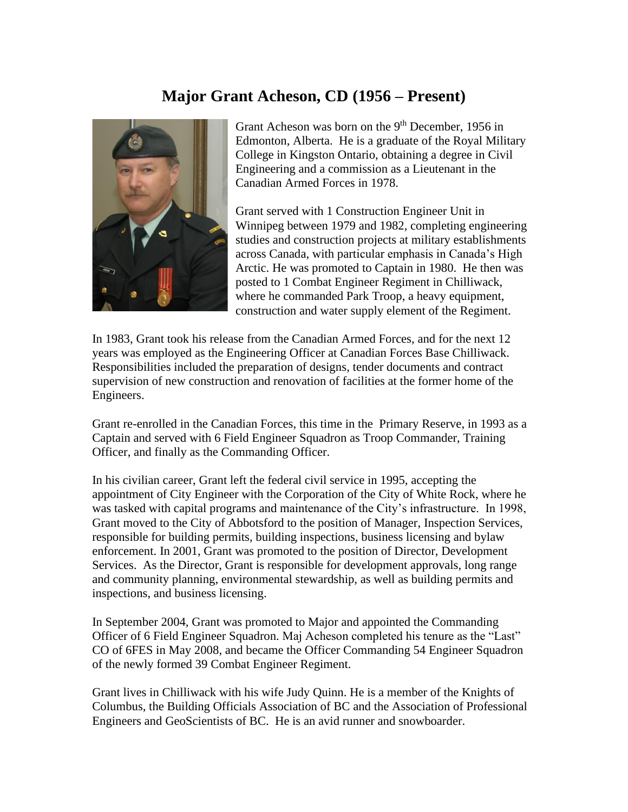## **Major Grant Acheson, CD (1956 – Present)**



Grant Acheson was born on the  $9<sup>th</sup>$  December, 1956 in Edmonton, Alberta. He is a graduate of the Royal Military College in Kingston Ontario, obtaining a degree in Civil Engineering and a commission as a Lieutenant in the Canadian Armed Forces in 1978.

Grant served with 1 Construction Engineer Unit in Winnipeg between 1979 and 1982, completing engineering studies and construction projects at military establishments across Canada, with particular emphasis in Canada's High Arctic. He was promoted to Captain in 1980. He then was posted to 1 Combat Engineer Regiment in Chilliwack, where he commanded Park Troop, a heavy equipment, construction and water supply element of the Regiment.

In 1983, Grant took his release from the Canadian Armed Forces, and for the next 12 years was employed as the Engineering Officer at Canadian Forces Base Chilliwack. Responsibilities included the preparation of designs, tender documents and contract supervision of new construction and renovation of facilities at the former home of the Engineers.

Grant re-enrolled in the Canadian Forces, this time in the Primary Reserve, in 1993 as a Captain and served with 6 Field Engineer Squadron as Troop Commander, Training Officer, and finally as the Commanding Officer.

In his civilian career, Grant left the federal civil service in 1995, accepting the appointment of City Engineer with the Corporation of the City of White Rock, where he was tasked with capital programs and maintenance of the City's infrastructure. In 1998, Grant moved to the City of Abbotsford to the position of Manager, Inspection Services, responsible for building permits, building inspections, business licensing and bylaw enforcement. In 2001, Grant was promoted to the position of Director, Development Services. As the Director, Grant is responsible for development approvals, long range and community planning, environmental stewardship, as well as building permits and inspections, and business licensing.

In September 2004, Grant was promoted to Major and appointed the Commanding Officer of 6 Field Engineer Squadron. Maj Acheson completed his tenure as the "Last" CO of 6FES in May 2008, and became the Officer Commanding 54 Engineer Squadron of the newly formed 39 Combat Engineer Regiment.

Grant lives in Chilliwack with his wife Judy Quinn. He is a member of the Knights of Columbus, the Building Officials Association of BC and the Association of Professional Engineers and GeoScientists of BC. He is an avid runner and snowboarder.